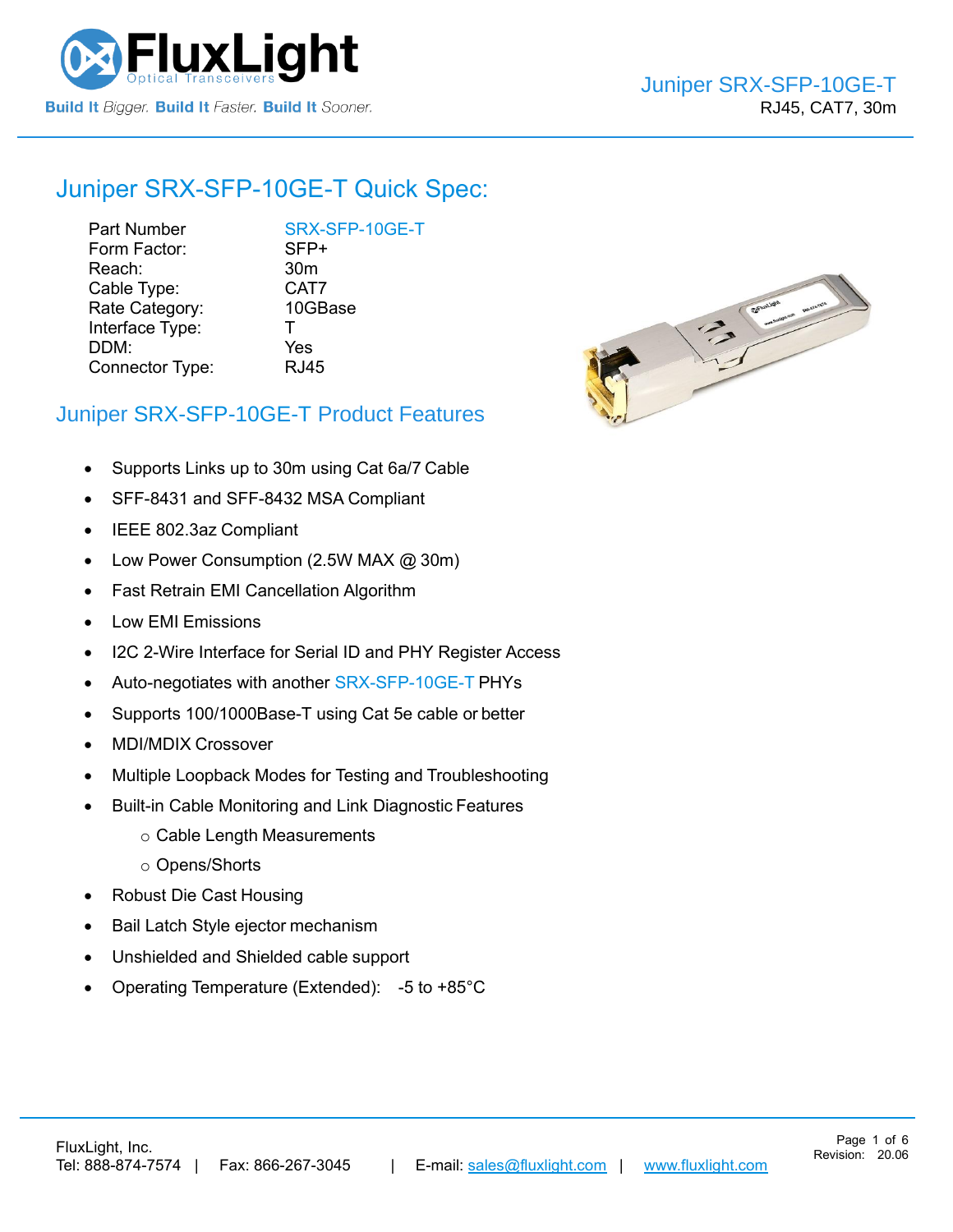

## Juniper [SRX-SFP-10GE-T](https://www.fluxlight.com/SRX-SFP-10ge-t/) Quick Spec:

Part Number [SRX-SFP-10GE-T](https://www.fluxlight.com/SRX-SFP-10ge-t/) Form Factor: SFP+ Reach: 30m Cable Type: CAT7 Rate Category: 10GBase Interface Type: T DDM: Yes Connector Type: RJ45



Page 1 of 6

### Juniper [SRX-SFP-10GE-T](https://www.fluxlight.com/SRX-SFP-10ge-t/) Product Features

- Supports Links up to 30m using Cat 6a/7 Cable
- SFF-8431 and SFF-8432 MSA Compliant
- IEEE 802.3az Compliant
- Low Power Consumption (2.5W MAX @ 30m)
- Fast Retrain EMI Cancellation Algorithm
- Low EMI Emissions
- I2C 2-Wire Interface for Serial ID and PHY Register Access
- Auto-negotiates with another [SRX-SFP-10GE-T](https://www.fluxlight.com/SRX-SFP-10ge-t/) PHYs
- Supports 100/1000Base-T using Cat 5e cable or better
- MDI/MDIX Crossover
- Multiple Loopback Modes for Testing and Troubleshooting
- Built-in Cable Monitoring and Link Diagnostic Features
	- o Cable Length Measurements
	- o Opens/Shorts
- Robust Die Cast Housing
- Bail Latch Style ejector mechanism
- Unshielded and Shielded cable support
- Operating Temperature (Extended): -5 to +85°C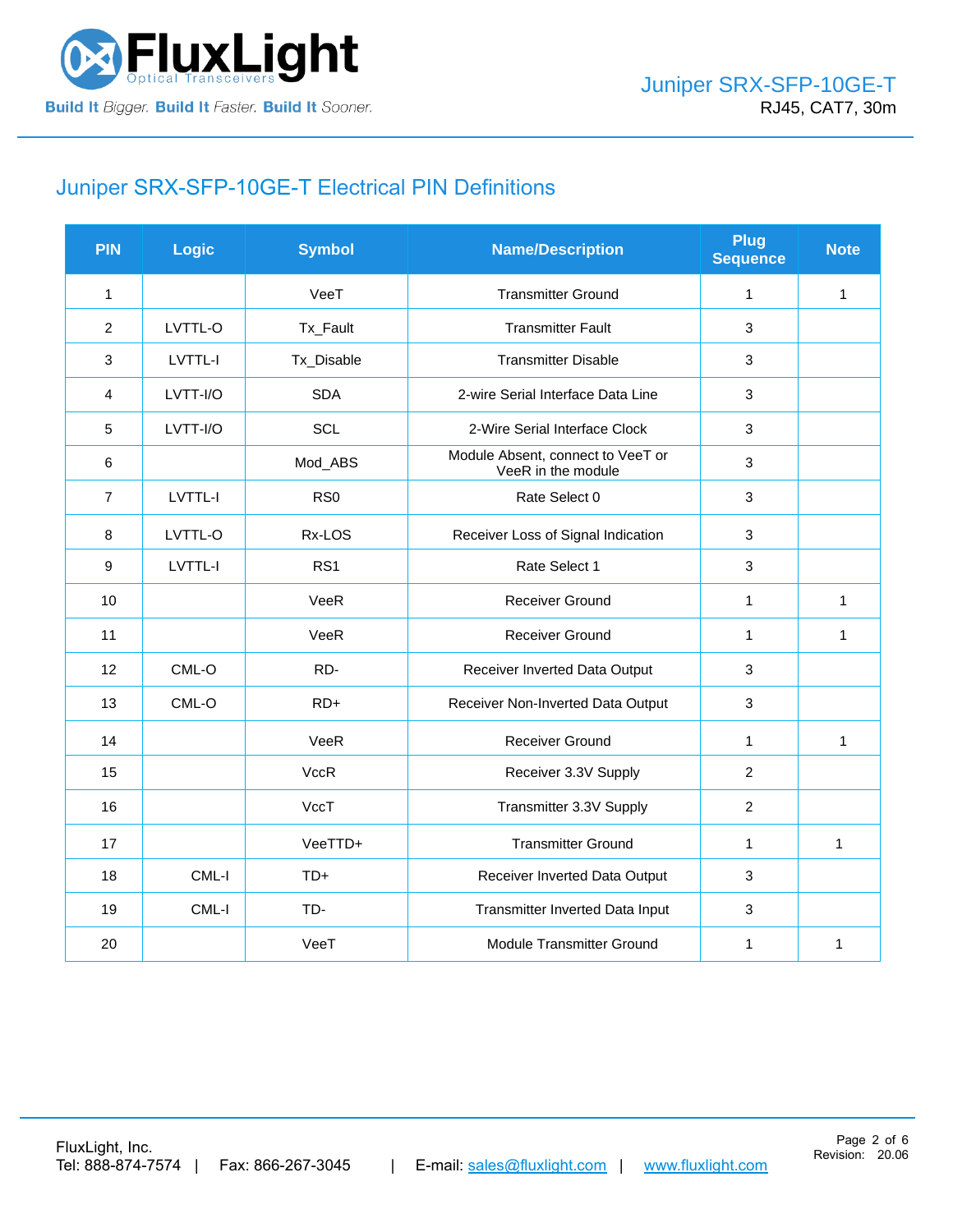

# Juniper [SRX-SFP-10GE-T](https://www.fluxlight.com/SRX-SFP-10ge-t/) Electrical PIN Definitions

| <b>PIN</b>       | Logic    | <b>Symbol</b>   | <b>Name/Description</b>                                 | <b>Plug</b><br><b>Sequence</b> | <b>Note</b>  |
|------------------|----------|-----------------|---------------------------------------------------------|--------------------------------|--------------|
| $\mathbf{1}$     |          | VeeT            | <b>Transmitter Ground</b>                               | $\mathbf{1}$                   | 1            |
| 2                | LVTTL-O  | Tx_Fault        | <b>Transmitter Fault</b>                                | 3                              |              |
| 3                | LVTTL-I  | Tx_Disable      | <b>Transmitter Disable</b>                              | 3                              |              |
| $\overline{4}$   | LVTT-I/O | <b>SDA</b>      | 2-wire Serial Interface Data Line                       | 3                              |              |
| 5                | LVTT-I/O | SCL             | 2-Wire Serial Interface Clock                           | 3                              |              |
| 6                |          | Mod_ABS         | Module Absent, connect to VeeT or<br>VeeR in the module | 3                              |              |
| $\overline{7}$   | LVTTL-I  | RS <sub>0</sub> | Rate Select 0                                           | 3                              |              |
| $\bf 8$          | LVTTL-O  | Rx-LOS          | Receiver Loss of Signal Indication                      | 3                              |              |
| $\boldsymbol{9}$ | LVTTL-I  | RS1             | Rate Select 1                                           | 3                              |              |
| 10               |          | VeeR            | <b>Receiver Ground</b>                                  | $\mathbf{1}$                   | 1            |
| 11               |          | VeeR            | <b>Receiver Ground</b>                                  | $\mathbf{1}$                   | 1            |
| 12               | CML-O    | RD-             | Receiver Inverted Data Output                           | 3                              |              |
| 13               | CML-O    | $RD+$           | Receiver Non-Inverted Data Output                       | 3                              |              |
| 14               |          | VeeR            | <b>Receiver Ground</b>                                  | $\mathbf{1}$                   | 1            |
| 15               |          | <b>VccR</b>     | Receiver 3.3V Supply                                    | $\overline{2}$                 |              |
| 16               |          | VccT            | Transmitter 3.3V Supply                                 | $\overline{2}$                 |              |
| 17               |          | VeeTTD+         | <b>Transmitter Ground</b>                               | $\mathbf{1}$                   | $\mathbf{1}$ |
| 18               | CML-I    | $TD+$           | Receiver Inverted Data Output                           | 3                              |              |
| 19               | CML-I    | TD-             | Transmitter Inverted Data Input                         | 3                              |              |
| 20               |          | VeeT            | Module Transmitter Ground                               | 1                              | 1            |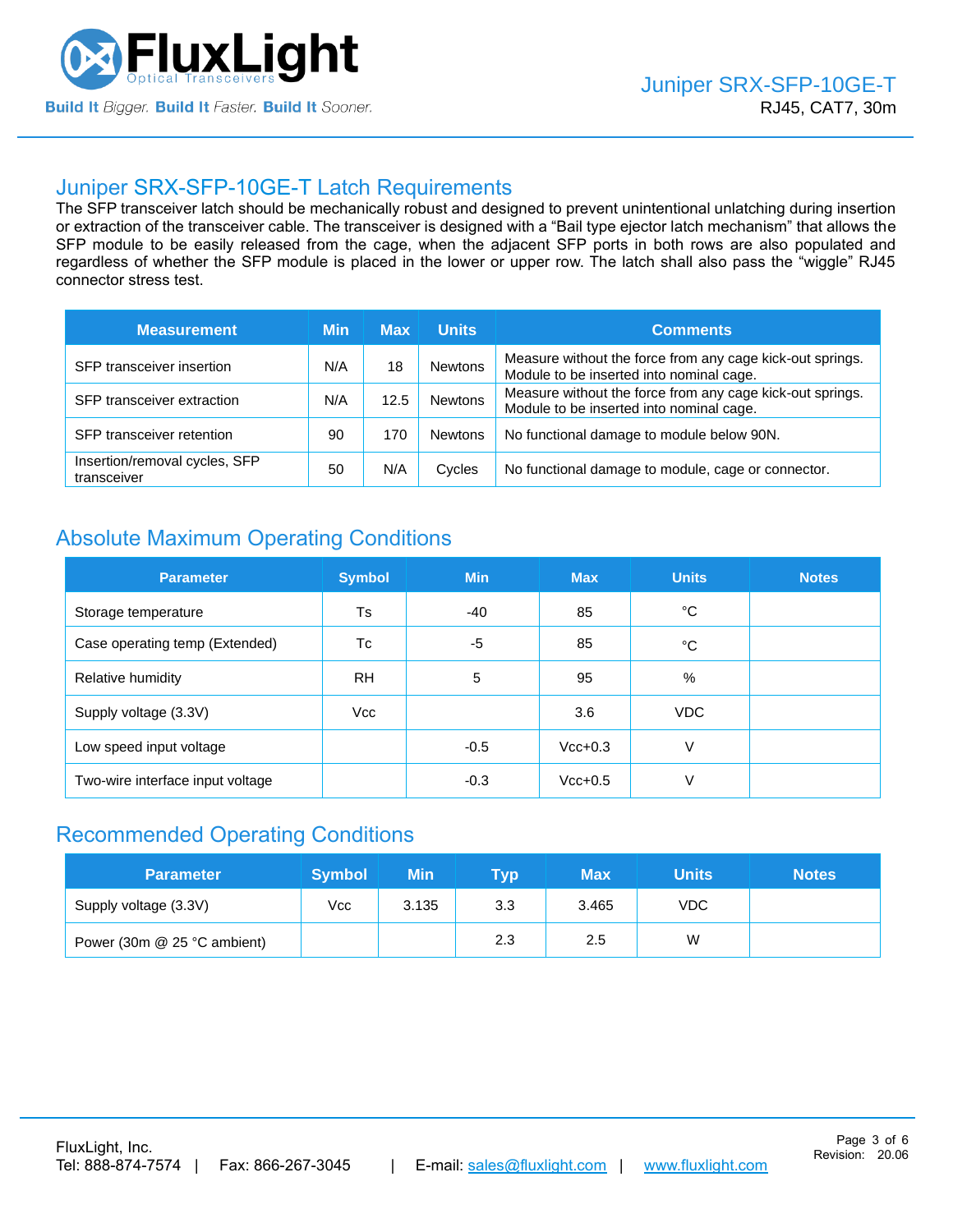

### Juniper [SRX-SFP-10GE-T](https://www.fluxlight.com/SRX-SFP-10ge-t/) Latch Requirements

The SFP transceiver latch should be mechanically robust and designed to prevent unintentional unlatching during insertion or extraction of the transceiver cable. The transceiver is designed with a "Bail type ejector latch mechanism" that allows the SFP module to be easily released from the cage, when the adjacent SFP ports in both rows are also populated and regardless of whether the SFP module is placed in the lower or upper row. The latch shall also pass the "wiggle" RJ45 connector stress test.

| <b>Measurement</b>                           | Min | <b>Max</b> | <b>Units</b>   | <b>Comments</b>                                                                                       |  |  |
|----------------------------------------------|-----|------------|----------------|-------------------------------------------------------------------------------------------------------|--|--|
| SFP transceiver insertion                    | N/A | 18         | <b>Newtons</b> | Measure without the force from any cage kick-out springs.<br>Module to be inserted into nominal cage. |  |  |
| SFP transceiver extraction                   | N/A | 12.5       | Newtons        | Measure without the force from any cage kick-out springs.<br>Module to be inserted into nominal cage. |  |  |
| SFP transceiver retention                    | 90  | 170        | <b>Newtons</b> | No functional damage to module below 90N.                                                             |  |  |
| Insertion/removal cycles, SFP<br>transceiver | 50  | N/A        | Cycles         | No functional damage to module, cage or connector.                                                    |  |  |

## Absolute Maximum Operating Conditions

| <b>Parameter</b>                 | <b>Symbol</b> | <b>Min</b> | <b>Max</b> | <b>Units</b> | <b>Notes</b> |
|----------------------------------|---------------|------------|------------|--------------|--------------|
| Storage temperature              | <b>Ts</b>     | -40        | 85         | °C           |              |
| Case operating temp (Extended)   | Tc            | -5         | 85         | °C           |              |
| Relative humidity                | <b>RH</b>     | 5          | 95         | %            |              |
| Supply voltage (3.3V)            | Vcc           |            | 3.6        | VDC.         |              |
| Low speed input voltage          |               | $-0.5$     | $Vcc+0.3$  | V            |              |
| Two-wire interface input voltage |               | $-0.3$     | $Vcc+0.5$  | V            |              |

### Recommended Operating Conditions

| <b>Parameter</b>            | <b>Symbol</b> | Min   | Tvp | Max   | Units      | <b>Notes</b> |
|-----------------------------|---------------|-------|-----|-------|------------|--------------|
| Supply voltage (3.3V)       | Vcc           | 3.135 | 3.3 | 3.465 | <b>VDC</b> |              |
| Power (30m @ 25 °C ambient) |               |       | 2.3 | 2.5   | W          |              |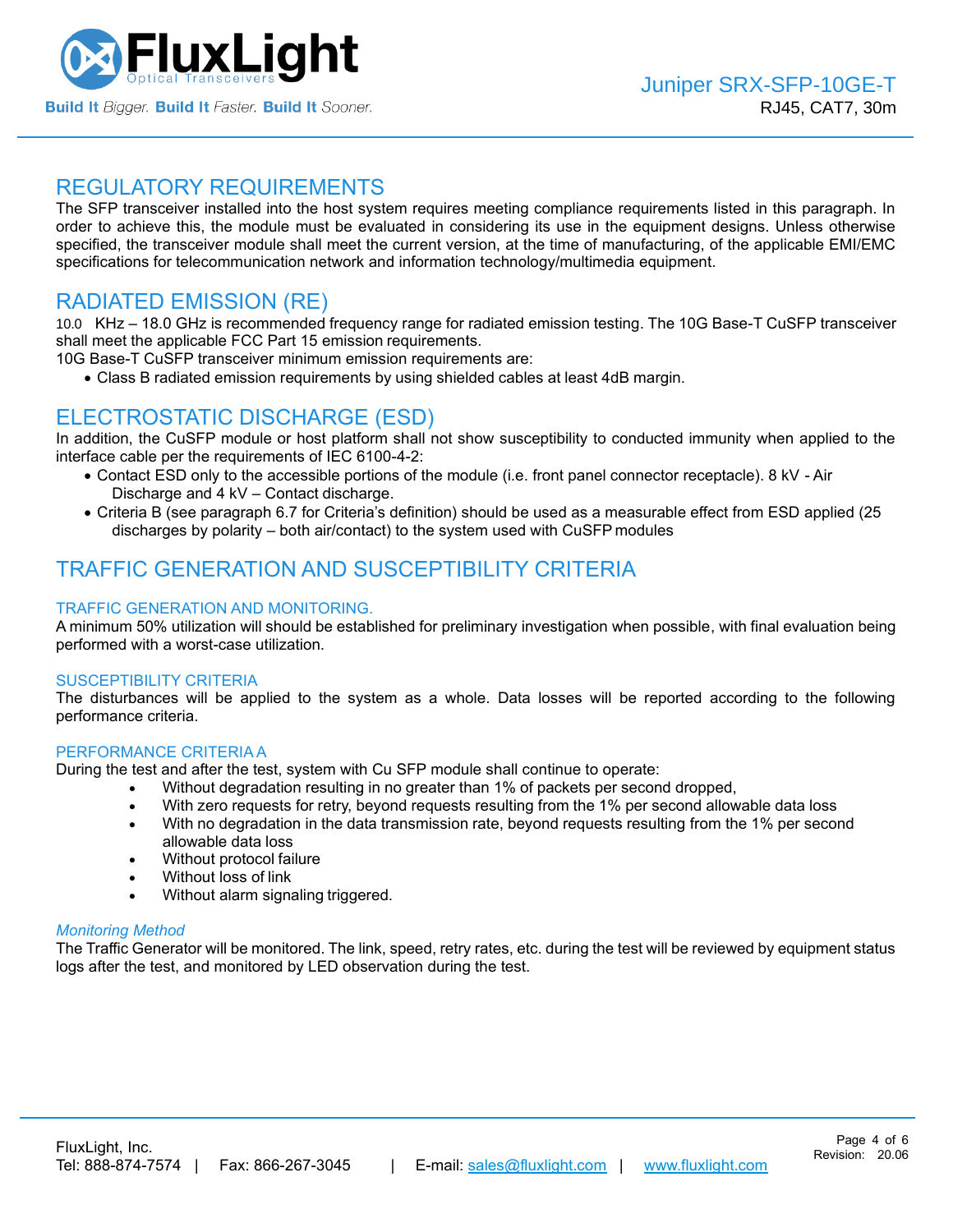

### REGULATORY REQUIREMENTS

The SFP transceiver installed into the host system requires meeting compliance requirements listed in this paragraph. In order to achieve this, the module must be evaluated in considering its use in the equipment designs. Unless otherwise specified, the transceiver module shall meet the current version, at the time of manufacturing, of the applicable EMI/EMC specifications for telecommunication network and information technology/multimedia equipment.

### RADIATED EMISSION (RE)

10.0 KHz – 18.0 GHz is recommended frequency range for radiated emission testing. The 10G Base-T CuSFP transceiver shall meet the applicable FCC Part 15 emission requirements.

10G Base-T CuSFP transceiver minimum emission requirements are:

• Class B radiated emission requirements by using shielded cables at least 4dB margin.

## ELECTROSTATIC DISCHARGE (ESD)

In addition, the CuSFP module or host platform shall not show susceptibility to conducted immunity when applied to the interface cable per the requirements of IEC 6100-4-2:

- Contact ESD only to the accessible portions of the module (i.e. front panel connector receptacle). 8 kV Air Discharge and 4 kV – Contact discharge.
- Criteria B (see paragraph 6.7 for Criteria's definition) should be used as a measurable effect from ESD applied (25 discharges by polarity – both air/contact) to the system used with CuSFP modules

## TRAFFIC GENERATION AND SUSCEPTIBILITY CRITERIA

#### TRAFFIC GENERATION AND MONITORING.

A minimum 50% utilization will should be established for preliminary investigation when possible, with final evaluation being performed with a worst-case utilization.

#### SUSCEPTIBILITY CRITERIA

The disturbances will be applied to the system as a whole. Data losses will be reported according to the following performance criteria.

#### PERFORMANCE CRITERIA A

During the test and after the test, system with Cu SFP module shall continue to operate:

- Without degradation resulting in no greater than 1% of packets per second dropped,
- With zero requests for retry, beyond requests resulting from the 1% per second allowable data loss
- With no degradation in the data transmission rate, beyond requests resulting from the 1% per second allowable data loss
- Without protocol failure
- Without loss of link
- Without alarm signaling triggered.

#### *Monitoring Method*

The Traffic Generator will be monitored. The link, speed, retry rates, etc. during the test will be reviewed by equipment status logs after the test, and monitored by LED observation during the test.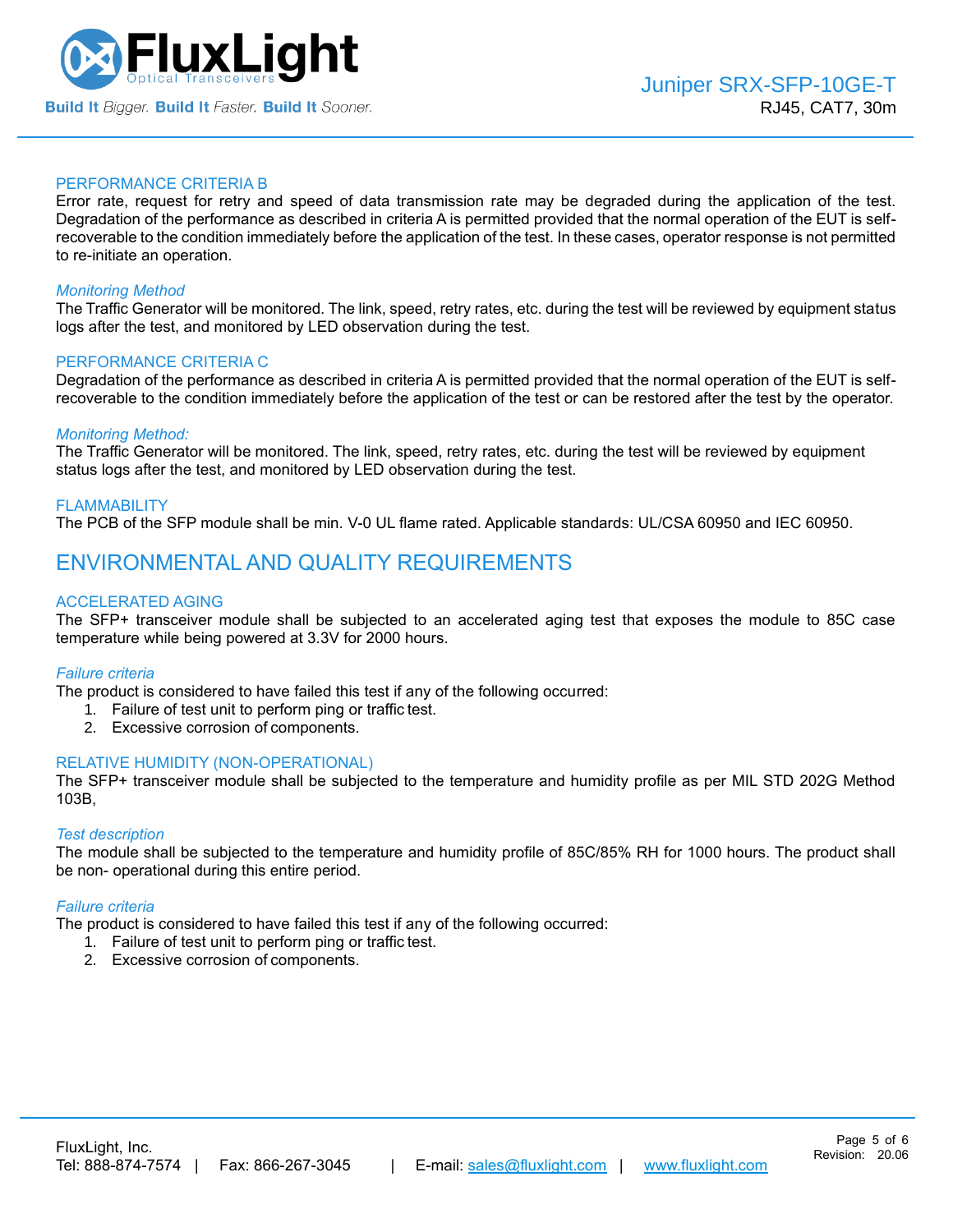

#### PERFORMANCE CRITERIA B

Error rate, request for retry and speed of data transmission rate may be degraded during the application of the test. Degradation of the performance as described in criteria A is permitted provided that the normal operation of the EUT is selfrecoverable to the condition immediately before the application of the test. In these cases, operator response is not permitted to re-initiate an operation.

#### *Monitoring Method*

The Traffic Generator will be monitored. The link, speed, retry rates, etc. during the test will be reviewed by equipment status logs after the test, and monitored by LED observation during the test.

#### PERFORMANCE CRITERIA C

Degradation of the performance as described in criteria A is permitted provided that the normal operation of the EUT is selfrecoverable to the condition immediately before the application of the test or can be restored after the test by the operator.

#### *Monitoring Method:*

The Traffic Generator will be monitored. The link, speed, retry rates, etc. during the test will be reviewed by equipment status logs after the test, and monitored by LED observation during the test.

#### FLAMMABILITY

The PCB of the SFP module shall be min. V-0 UL flame rated. Applicable standards: UL/CSA 60950 and IEC 60950.

### ENVIRONMENTAL AND QUALITY REQUIREMENTS

#### ACCELERATED AGING

The SFP+ transceiver module shall be subjected to an accelerated aging test that exposes the module to 85C case temperature while being powered at 3.3V for 2000 hours.

#### *Failure criteria*

The product is considered to have failed this test if any of the following occurred:

- 1. Failure of test unit to perform ping or traffic test.
- 2. Excessive corrosion of components.

#### RELATIVE HUMIDITY (NON-OPERATIONAL)

The SFP+ transceiver module shall be subjected to the temperature and humidity profile as per MIL STD 202G Method 103B,

#### *Test description*

The module shall be subjected to the temperature and humidity profile of 85C/85% RH for 1000 hours. The product shall be non- operational during this entire period.

#### *Failure criteria*

The product is considered to have failed this test if any of the following occurred:

- 1. Failure of test unit to perform ping or traffic test.
- 2. Excessive corrosion of components.